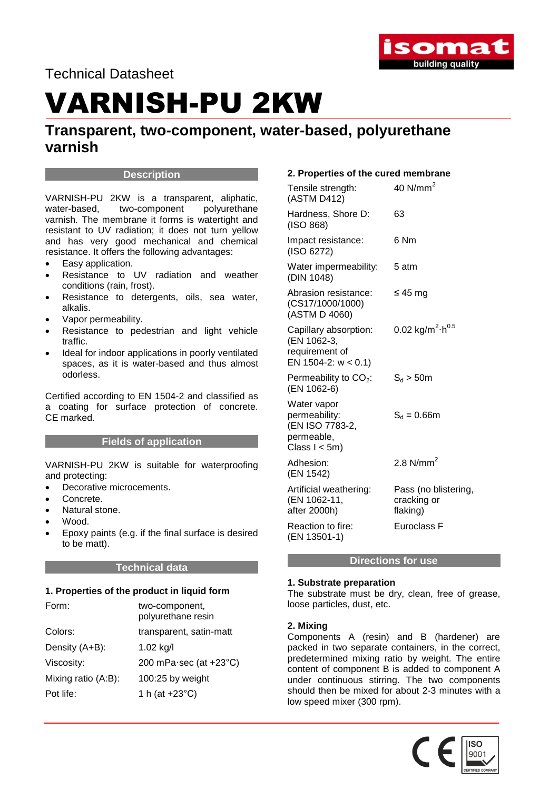

Technical Datasheet

## VARNISH-PU 2KW

### **Transparent, two-component, water-based, polyurethane varnish**

### **Description**

VARNISH-PU 2KW is a transparent, aliphatic, water-based, two-component polyurethane varnish. The membrane it forms is watertight and resistant to UV radiation; it does not turn yellow and has very good mechanical and chemical resistance. It offers the following advantages:

- Easy application.
- Resistance to UV radiation and weather conditions (rain, frost).
- Resistance to detergents, oils, sea water, alkalis.
- Vapor permeability.
- Resistance to pedestrian and light vehicle traffic.
- Ideal for indoor applications in poorly ventilated spaces, as it is water-based and thus almost odorless.

Certified according to EN 1504-2 and classified as a coating for surface protection of concrete. CE marked.

### **Fields of application**

VARNISH-PU 2KW is suitable for waterproofing and protecting:

- Decorative microcements.
- Concrete.
- Natural stone.
- Wood.
- Epoxy paints (e.g. if the final surface is desired to be matt).

### **Technical data**

### **1. Properties of the product in liquid form**

| Form:               | two-component,<br>polyurethane resin     |
|---------------------|------------------------------------------|
| Colors:             | transparent, satin-matt                  |
| Density (A+B):      | 1.02 $kg/l$                              |
| Viscosity:          | 200 mPa $\cdot$ sec (at +23 $\degree$ C) |
| Mixing ratio (A:B): | 100:25 by weight                         |
| Pot life:           | 1 h (at $+23^{\circ}$ C)                 |

### **2. Properties of the cured membrane**

| Tensile strength:<br>(ASTM D412)                                                  | 40 $N/mm2$                                      |
|-----------------------------------------------------------------------------------|-------------------------------------------------|
| Hardness, Shore D:<br>(ISO 868)                                                   | 63                                              |
| Impact resistance:<br>(ISO 6272)                                                  | 6 Nm                                            |
| Water impermeability:<br>(DIN 1048)                                               | 5 atm                                           |
| Abrasion resistance:<br>(CS17/1000/1000)<br>(ASTM D 4060)                         | ≤ 45 mg                                         |
| Capillary absorption:<br>(EN 1062-3,<br>requirement of<br>EN 1504-2: $w < 0.1$ )  | 0.02 kg/m <sup>2</sup> $\cdot$ h <sup>0.5</sup> |
| Permeability to $CO2$ :<br>(EN 1062-6)                                            | $S_d > 50m$                                     |
| Water vapor<br>permeability:<br>(EN ISO 7783-2,<br>permeable,<br>Class $l < 5m$ ) | $S_d = 0.66$ m                                  |
| Adhesion:<br>(EN 1542)                                                            | 2.8 $N/mm2$                                     |
| Artificial weathering:<br>(EN 1062-11,<br>after 2000h)                            | Pass (no blistering,<br>cracking or<br>flaking) |
| Reaction to fire:<br>(EN 13501-1)                                                 | Euroclass F                                     |

### **Directions for use**

### **1. Substrate preparation**

The substrate must be dry, clean, free of grease, loose particles, dust, etc.

### **2. Mixing**

Components A (resin) and B (hardener) are packed in two separate containers, in the correct, predetermined mixing ratio by weight. The entire content of component B is added to component A under continuous stirring. The two components should then be mixed for about 2-3 minutes with a low speed mixer (300 rpm).

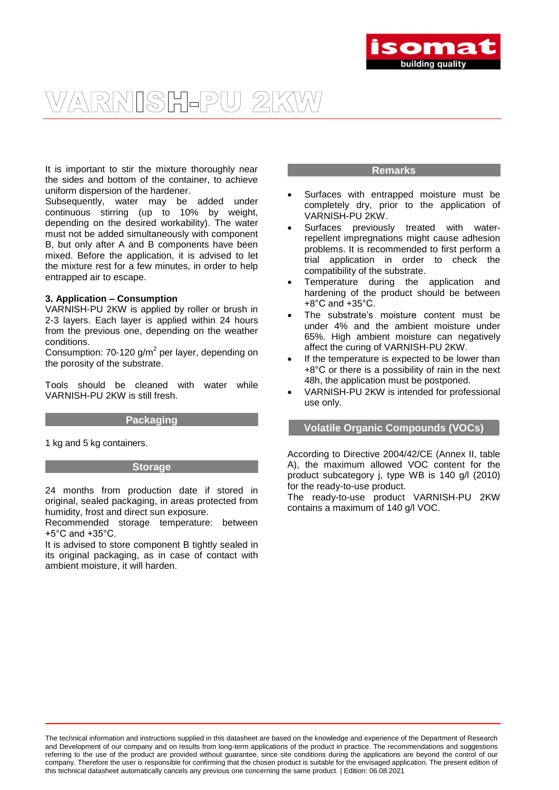

### VARNISH-PU 2KW

It is important to stir the mixture thoroughly near the sides and bottom of the container, to achieve uniform dispersion of the hardener.

Subsequently, water may be added under continuous stirring (up to 10% by weight, depending on the desired workability). The water must not be added simultaneously with component B, but only after A and B components have been mixed. Before the application, it is advised to let the mixture rest for a few minutes, in order to help entrapped air to escape.

#### **3. Application – Consumption**

VARNISH-PU 2KW is applied by roller or brush in 2-3 layers. Each layer is applied within 24 hours from the previous one, depending on the weather conditions.

Consumption: 70-120  $g/m^2$  per layer, depending on the porosity of the substrate.

Tools should be cleaned with water while VARNISH-PU 2KW is still fresh.

### **Packaging**

1 kg and 5 kg containers.

#### **Storage**

24 months from production date if stored in original, sealed packaging, in areas protected from humidity, frost and direct sun exposure.

Recommended storage temperature: between +5°C and +35°C.

It is advised to store component B tightly sealed in its original packaging, as in case of contact with ambient moisture, it will harden.

### **Remarks**

- Surfaces with entrapped moisture must be completely dry, prior to the application of VARNISH-PU 2KW.
- Surfaces previously treated with waterrepellent impregnations might cause adhesion problems. It is recommended to first perform a trial application in order to check the compatibility of the substrate.
- Temperature during the application and hardening of the product should be between +8°C and +35°C.
- The substrate's moisture content must be under 4% and the ambient moisture under 65%. High ambient moisture can negatively affect the curing of VARNISH-PU 2KW.
- If the temperature is expected to be lower than +8°C or there is a possibility of rain in the next 48h, the application must be postponed.
- VARNISH-PU 2KW is intended for professional use only.

### **Volatile Organic Compounds (VOCs)**

According to Directive 2004/42/CE (Annex II, table A), the maximum allowed VOC content for the product subcategory j, type WB is 140 g/l (2010) for the ready-to-use product.

The ready-to-use product VARNISH-PU 2KW contains a maximum of 140 g/l VOC.

The technical information and instructions supplied in this datasheet are based on the knowledge and experience of the Department of Research and Development of our company and on results from long-term applications of the product in practice. The recommendations and suggestions referring to the use of the product are provided without guarantee, since site conditions during the applications are beyond the control of our company. Therefore the user is responsible for confirming that the chosen product is suitable for the envisaged application. The present edition of this technical datasheet automatically cancels any previous one concerning the same product. | Edition: 06.08.2021